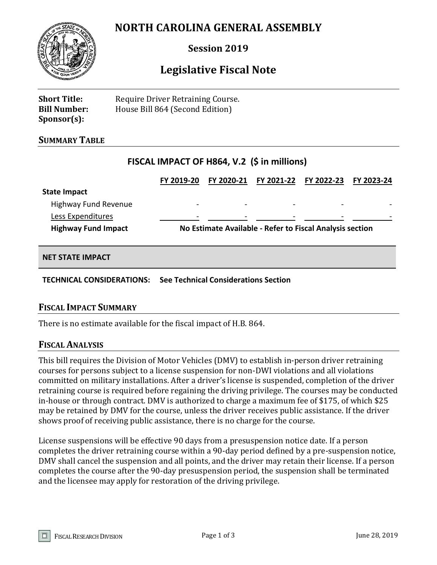# **NORTH CAROLINA GENERAL ASSEMBLY**



# **Session 2019**

# **Legislative Fiscal Note**

**Short Title:** Require Driver Retraining Course. **Bill Number:** House Bill 864 (Second Edition) **Sponsor(s):**

#### **SUMMARY TABLE**

## **FISCAL IMPACT OF H864, V.2 (\$ in millions)**

|                            | FY 2019-20                                               | FY 2020-21               | <b>FY 2021-22</b> | FY 2022-23               | FY 2023-24 |
|----------------------------|----------------------------------------------------------|--------------------------|-------------------|--------------------------|------------|
| <b>State Impact</b>        |                                                          |                          |                   |                          |            |
| Highway Fund Revenue       |                                                          | $\overline{\phantom{0}}$ | $\,$              | $\qquad \qquad$          |            |
| Less Expenditures          |                                                          |                          |                   | $\overline{\phantom{a}}$ |            |
| <b>Highway Fund Impact</b> | No Estimate Available - Refer to Fiscal Analysis section |                          |                   |                          |            |
|                            |                                                          |                          |                   |                          |            |

#### **NET STATE IMPACT**

**TECHNICAL CONSIDERATIONS: See Technical Considerations Section**

#### **FISCAL IMPACT SUMMARY**

There is no estimate available for the fiscal impact of H.B. 864.

#### **FISCAL ANALYSIS**

This bill requires the Division of Motor Vehicles (DMV) to establish in-person driver retraining courses for persons subject to a license suspension for non-DWI violations and all violations committed on military installations. After a driver's license is suspended, completion of the driver retraining course is required before regaining the driving privilege. The courses may be conducted in-house or through contract. DMV is authorized to charge a maximum fee of \$175, of which \$25 may be retained by DMV for the course, unless the driver receives public assistance. If the driver shows proof of receiving public assistance, there is no charge for the course.

License suspensions will be effective 90 days from a presuspension notice date. If a person completes the driver retraining course within a 90-day period defined by a pre-suspension notice, DMV shall cancel the suspension and all points, and the driver may retain their license. If a person completes the course after the 90-day presuspension period, the suspension shall be terminated and the licensee may apply for restoration of the driving privilege.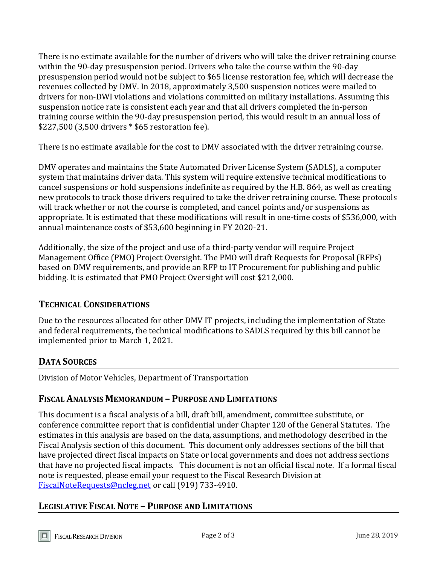There is no estimate available for the number of drivers who will take the driver retraining course within the 90-day presuspension period. Drivers who take the course within the 90-day presuspension period would not be subject to \$65 license restoration fee, which will decrease the revenues collected by DMV. In 2018, approximately 3,500 suspension notices were mailed to drivers for non-DWI violations and violations committed on military installations. Assuming this suspension notice rate is consistent each year and that all drivers completed the in-person training course within the 90-day presuspension period, this would result in an annual loss of \$227,500 (3,500 drivers \* \$65 restoration fee).

There is no estimate available for the cost to DMV associated with the driver retraining course.

DMV operates and maintains the State Automated Driver License System (SADLS), a computer system that maintains driver data. This system will require extensive technical modifications to cancel suspensions or hold suspensions indefinite as required by the H.B. 864, as well as creating new protocols to track those drivers required to take the driver retraining course. These protocols will track whether or not the course is completed, and cancel points and/or suspensions as appropriate. It is estimated that these modifications will result in one-time costs of \$536,000, with annual maintenance costs of \$53,600 beginning in FY 2020-21.

Additionally, the size of the project and use of a third-party vendor will require Project Management Office (PMO) Project Oversight. The PMO will draft Requests for Proposal (RFPs) based on DMV requirements, and provide an RFP to IT Procurement for publishing and public bidding. It is estimated that PMO Project Oversight will cost \$212,000.

## **TECHNICAL CONSIDERATIONS**

Due to the resources allocated for other DMV IT projects, including the implementation of State and federal requirements, the technical modifications to SADLS required by this bill cannot be implemented prior to March 1, 2021.

## **DATA SOURCES**

Division of Motor Vehicles, Department of Transportation

## **FISCAL ANALYSIS MEMORANDUM – PURPOSE AND LIMITATIONS**

This document is a fiscal analysis of a bill, draft bill, amendment, committee substitute, or conference committee report that is confidential under Chapter 120 of the General Statutes. The estimates in this analysis are based on the data, assumptions, and methodology described in the Fiscal Analysis section of this document. This document only addresses sections of the bill that have projected direct fiscal impacts on State or local governments and does not address sections that have no projected fiscal impacts. This document is not an official fiscal note. If a formal fiscal note is requested, please email your request to the Fiscal Research Division at [FiscalNoteRequests@ncleg.net](mailto:FiscalNoteRequests@ncleg.net) or call (919) 733-4910.

## **LEGISLATIVE FISCAL NOTE – PURPOSE AND LIMITATIONS**